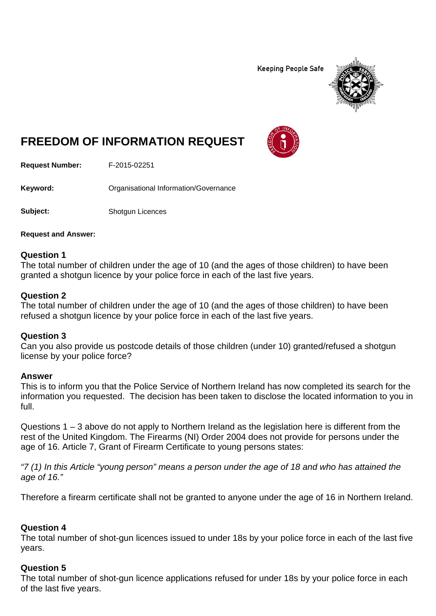**Keeping People Safe** 



# **FREEDOM OF INFORMATION REQUEST**

**Request Number:** F-2015-02251

Keyword: **Calcular Communists** Organisational Information/Governance

**Subject:** Shotgun Licences

**Request and Answer:**

## **Question 1**

The total number of children under the age of 10 (and the ages of those children) to have been granted a shotgun licence by your police force in each of the last five years.

## **Question 2**

The total number of children under the age of 10 (and the ages of those children) to have been refused a shotgun licence by your police force in each of the last five years.

## **Question 3**

Can you also provide us postcode details of those children (under 10) granted/refused a shotgun license by your police force?

#### **Answer**

This is to inform you that the Police Service of Northern Ireland has now completed its search for the information you requested. The decision has been taken to disclose the located information to you in full.

Questions 1 – 3 above do not apply to Northern Ireland as the legislation here is different from the rest of the United Kingdom. The Firearms (NI) Order 2004 does not provide for persons under the age of 16. Article 7, Grant of Firearm Certificate to young persons states:

*"7 (1) In this Article "young person" means a person under the age of 18 and who has attained the age of 16."*

Therefore a firearm certificate shall not be granted to anyone under the age of 16 in Northern Ireland.

## **Question 4**

The total number of shot-gun licences issued to under 18s by your police force in each of the last five years.

## **Question 5**

The total number of shot-gun licence applications refused for under 18s by your police force in each of the last five years.